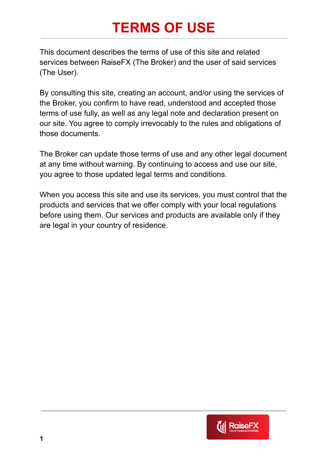# **TERMS OF USE**

This document describes the terms of use of this site and related services between RaiseFX (The Broker) and the user of said services (The User).

By consulting this site, creating an account, and/or using the services of the Broker, you confirm to have read, understood and accepted those terms of use fully, as well as any legal note and declaration present on our site. You agree to comply irrevocably to the rules and obligations of those documents.

The Broker can update those terms of use and any other legal document at any time without warning. By continuing to access and use our site, you agree to those updated legal terms and conditions.

When you access this site and use its services, you must control that the products and services that we offer comply with your local regulations before using them. Our services and products are available only if they are legal in your country of residence.

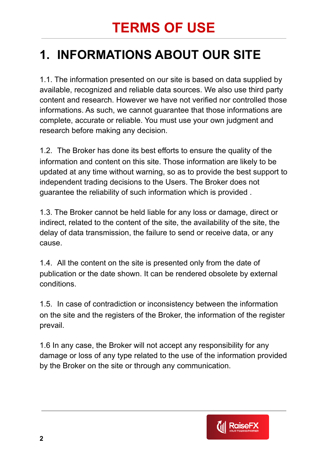# **TERMS OF USE**

## **1. INFORMATIONS ABOUT OUR SITE**

1.1. The information presented on our site is based on data supplied by available, recognized and reliable data sources. We also use third party content and research. However we have not verified nor controlled those informations. As such, we cannot guarantee that those informations are complete, accurate or reliable. You must use your own judgment and research before making any decision.

1.2. The Broker has done its best efforts to ensure the quality of the information and content on this site. Those information are likely to be updated at any time without warning, so as to provide the best support to independent trading decisions to the Users. The Broker does not guarantee the reliability of such information which is provided .

1.3. The Broker cannot be held liable for any loss or damage, direct or indirect, related to the content of the site, the availability of the site, the delay of data transmission, the failure to send or receive data, or any cause.

1.4. All the content on the site is presented only from the date of publication or the date shown. It can be rendered obsolete by external conditions.

1.5. In case of contradiction or inconsistency between the information on the site and the registers of the Broker, the information of the register prevail.

1.6 In any case, the Broker will not accept any responsibility for any damage or loss of any type related to the use of the information provided by the Broker on the site or through any communication.

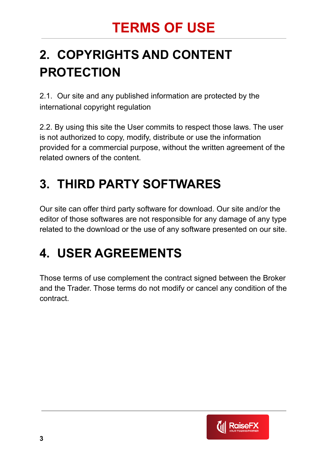## **2. COPYRIGHTS AND CONTENT PROTECTION**

2.1. Our site and any published information are protected by the international copyright regulation

2.2. By using this site the User commits to respect those laws. The user is not authorized to copy, modify, distribute or use the information provided for a commercial purpose, without the written agreement of the related owners of the content.

## **3. THIRD PARTY SOFTWARES**

Our site can offer third party software for download. Our site and/or the editor of those softwares are not responsible for any damage of any type related to the download or the use of any software presented on our site.

#### **4. USER AGREEMENTS**

Those terms of use complement the contract signed between the Broker and the Trader. Those terms do not modify or cancel any condition of the contract.

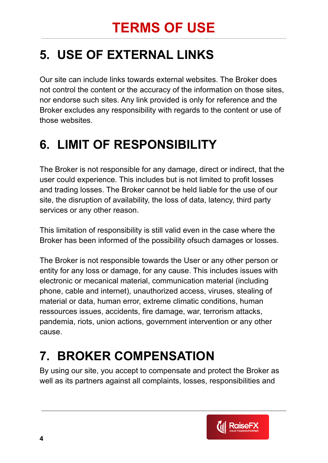## **5. USE OF EXTERNAL LINKS**

Our site can include links towards external websites. The Broker does not control the content or the accuracy of the information on those sites, nor endorse such sites. Any link provided is only for reference and the Broker excludes any responsibility with regards to the content or use of those websites.

## **6. LIMIT OF RESPONSIBILITY**

The Broker is not responsible for any damage, direct or indirect, that the user could experience. This includes but is not limited to profit losses and trading losses. The Broker cannot be held liable for the use of our site, the disruption of availability, the loss of data, latency, third party services or any other reason.

This limitation of responsibility is still valid even in the case where the Broker has been informed of the possibility ofsuch damages or losses.

The Broker is not responsible towards the User or any other person or entity for any loss or damage, for any cause. This includes issues with electronic or mecanical material, communication material (including phone, cable and internet), unauthorized access, viruses, stealing of material or data, human error, extreme climatic conditions, human ressources issues, accidents, fire damage, war, terrorism attacks, pandemia, riots, union actions, government intervention or any other cause.

## **7. BROKER COMPENSATION**

By using our site, you accept to compensate and protect the Broker as well as its partners against all complaints, losses, responsibilities and